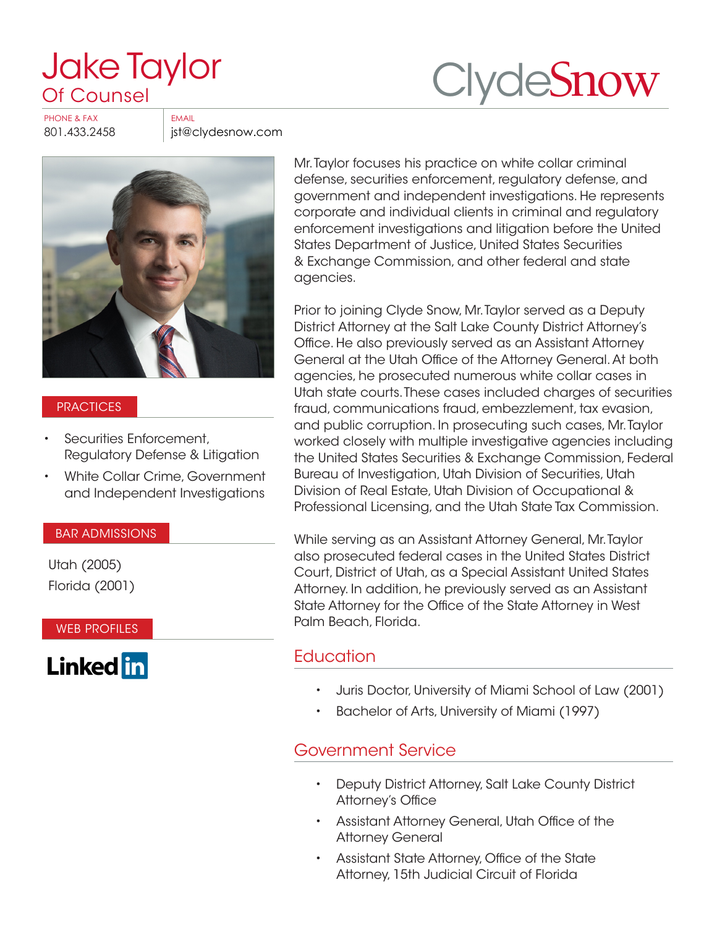# [Jake Taylor](https://www.clydesnow.com/attorneys/67-Jake-Taylor) Of Counsel



PHONE & FAX FAX

801.433.2458 | jst@clydesnow.com



#### **PRACTICES**

- Securities Enforcement, Regulatory Defense & Litigation
- White Collar Crime, Government and Independent Investigations

#### BAR ADMISSIONS

Utah (2005) Florida (2001)

WEB PROFILES



Mr. Taylor focuses his practice on white collar criminal defense, securities enforcement, regulatory defense, and government and independent investigations. He represents corporate and individual clients in criminal and regulatory enforcement investigations and litigation before the United States Department of Justice, United States Securities & Exchange Commission, and other federal and state agencies.

Prior to joining Clyde Snow, Mr. Taylor served as a Deputy District Attorney at the Salt Lake County District Attorney's Office. He also previously served as an Assistant Attorney General at the Utah Office of the Attorney General. At both agencies, he prosecuted numerous white collar cases in Utah state courts. These cases included charges of securities fraud, communications fraud, embezzlement, tax evasion, and public corruption. In prosecuting such cases, Mr. Taylor worked closely with multiple investigative agencies including the United States Securities & Exchange Commission, Federal Bureau of Investigation, Utah Division of Securities, Utah Division of Real Estate, Utah Division of Occupational & Professional Licensing, and the Utah State Tax Commission.

While serving as an Assistant Attorney General, Mr. Taylor also prosecuted federal cases in the United States District Court, District of Utah, as a Special Assistant United States Attorney. In addition, he previously served as an Assistant State Attorney for the Office of the State Attorney in West Palm Beach, Florida.

### **Education**

- Juris Doctor, University of Miami School of Law (2001)
- Bachelor of Arts, University of Miami (1997)

### Government Service

- Deputy District Attorney, Salt Lake County District Attorney's Office
- Assistant Attorney General, Utah Office of the Attorney General
- Assistant State Attorney, Office of the State Attorney, 15th Judicial Circuit of Florida